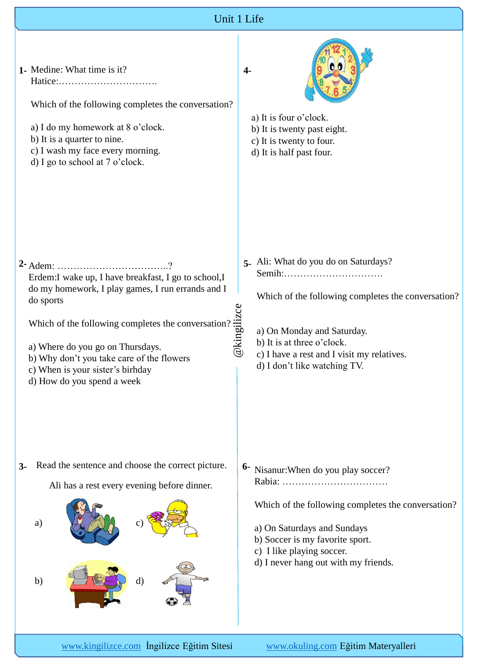

[www.kingilizce.com](http://www.ahingilizce.com/) İngilizce Eğitim Sitesi [www.okuling.com](http://www.okuling.com/) Eğitim Materyalleri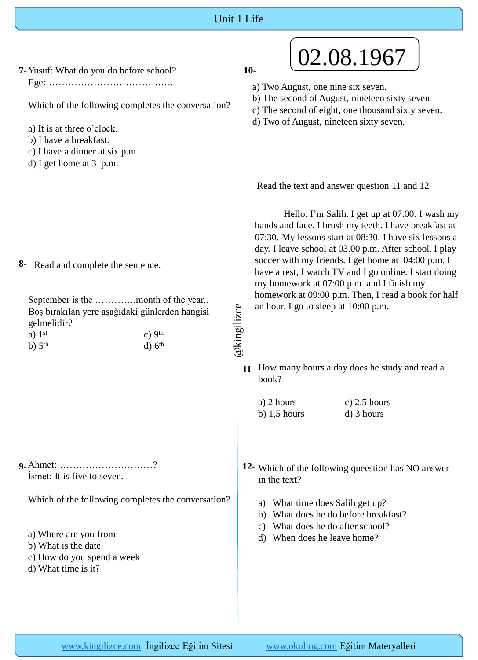## Unit 1 Life

| 7- Yusuf: What do you do before school?                                                                                                                                                                    | 02.08.1967<br>$10-$                                                                                                                                                                                                                                                        |
|------------------------------------------------------------------------------------------------------------------------------------------------------------------------------------------------------------|----------------------------------------------------------------------------------------------------------------------------------------------------------------------------------------------------------------------------------------------------------------------------|
| Which of the following completes the conversation?<br>a) It is at three o'clock.<br>b) I have a breakfast.<br>c) I have a dinner at six p.m<br>d) I get home at 3 p.m.                                     | a) Two August, one nine six seven.<br>b) The second of August, nineteen sixty seven.<br>c) The second of eight, one thousand sixty seven.<br>d) Two of August, nineteen sixty seven.                                                                                       |
|                                                                                                                                                                                                            | Read the text and answer question 11 and 12<br>Hello, I'm Salih. I get up at 07:00. I wash my<br>hands and face. I brush my teeth. I have breakfast at<br>07:30. My lessons start at 08:30. I have six lessons a<br>day. I leave school at 03.00 p.m. After school, I play |
| Read and complete the sentence.<br>8-<br>September is the month of the year<br>Boş bırakılan yere aşağıdaki günlerden hangisi<br>gelmelidir?<br>c) $9th$<br>a) $1st$<br>$d)$ $6th$<br>$b)$ 5 <sup>th</sup> | soccer with my friends. I get home at 04:00 p.m. I<br>have a rest, I watch TV and I go online. I start doing<br>my homework at 07:00 p.m. and I finish my<br>homework at 09:00 p.m. Then, I read a book for half<br>an hour. I go to sleep at 10:00 p.m.<br>@kingilizce    |
|                                                                                                                                                                                                            | 11. How many hours a day does he study and read a<br>book?<br>a) 2 hours<br>c) $2.5$ hours<br>b) $1,5$ hours<br>d) 3 hours                                                                                                                                                 |
| 9. Ahmet:?<br>Ismet: It is five to seven.                                                                                                                                                                  | 12- Which of the following queestion has NO answer<br>in the text?                                                                                                                                                                                                         |
| Which of the following completes the conversation?<br>a) Where are you from<br>b) What is the date<br>c) How do you spend a week<br>d) What time is it?                                                    | a) What time does Salih get up?<br>What does he do before breakfast?<br>b)<br>What does he do after school?<br>$\mathcal{C}$ )<br>When does he leave home?<br>d)                                                                                                           |